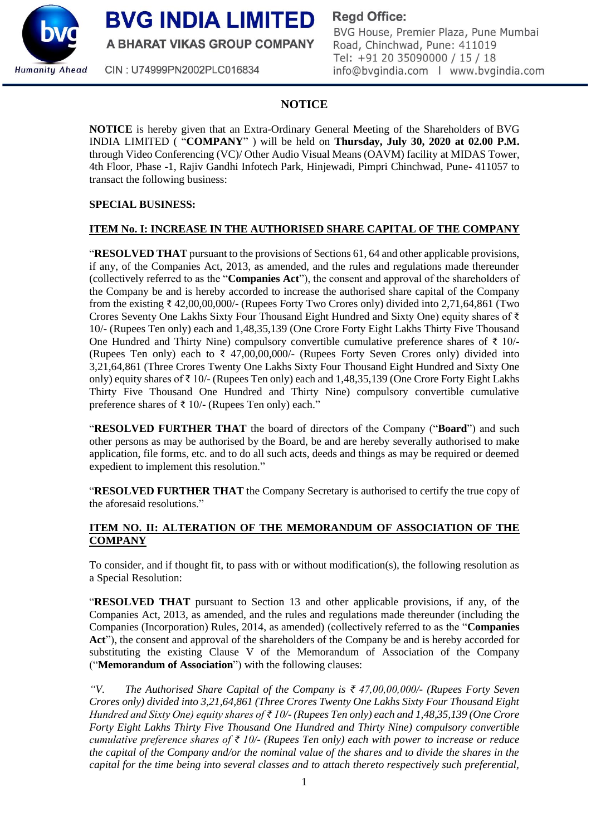

**BVG INDIA LIMITED** 

A BHARAT VIKAS GROUP COMPANY

**Regd Office:** 

BVG House, Premier Plaza, Pune Mumbai Road, Chinchwad, Pune: 411019 Tel: +91 20 35090000 / 15 / 18 info@bvgindia.com | www.bvgindia.com

CIN: U74999PN2002PLC016834

# **NOTICE**

**NOTICE** is hereby given that an Extra-Ordinary General Meeting of the Shareholders of BVG INDIA LIMITED ( "**COMPANY**" ) will be held on **Thursday, July 30, 2020 at 02.00 P.M.** through Video Conferencing (VC)/ Other Audio Visual Means (OAVM) facility at MIDAS Tower, 4th Floor, Phase -1, Rajiv Gandhi Infotech Park, Hinjewadi, Pimpri Chinchwad, Pune- 411057 to transact the following business:

### **SPECIAL BUSINESS:**

## **ITEM No. I: INCREASE IN THE AUTHORISED SHARE CAPITAL OF THE COMPANY**

"**RESOLVED THAT** pursuant to the provisions of Sections 61, 64 and other applicable provisions, if any, of the Companies Act, 2013, as amended, and the rules and regulations made thereunder (collectively referred to as the "**Companies Act**"), the consent and approval of the shareholders of the Company be and is hereby accorded to increase the authorised share capital of the Company from the existing ₹ 42,00,00,000/- (Rupees Forty Two Crores only) divided into 2,71,64,861 (Two Crores Seventy One Lakhs Sixty Four Thousand Eight Hundred and Sixty One) equity shares of ₹ 10/- (Rupees Ten only) each and 1,48,35,139 (One Crore Forty Eight Lakhs Thirty Five Thousand One Hundred and Thirty Nine) compulsory convertible cumulative preference shares of ₹ 10/-(Rupees Ten only) each to  $\bar{\tau}$  47,00,00,000/- (Rupees Forty Seven Crores only) divided into 3,21,64,861 (Three Crores Twenty One Lakhs Sixty Four Thousand Eight Hundred and Sixty One only) equity shares of ₹ 10/- (Rupees Ten only) each and 1,48,35,139 (One Crore Forty Eight Lakhs Thirty Five Thousand One Hundred and Thirty Nine) compulsory convertible cumulative preference shares of ₹ 10/- (Rupees Ten only) each."

"**RESOLVED FURTHER THAT** the board of directors of the Company ("**Board**") and such other persons as may be authorised by the Board, be and are hereby severally authorised to make application, file forms, etc. and to do all such acts, deeds and things as may be required or deemed expedient to implement this resolution."

"**RESOLVED FURTHER THAT** the Company Secretary is authorised to certify the true copy of the aforesaid resolutions."

## **ITEM NO. II: ALTERATION OF THE MEMORANDUM OF ASSOCIATION OF THE COMPANY**

To consider, and if thought fit, to pass with or without modification(s), the following resolution as a Special Resolution:

"**RESOLVED THAT** pursuant to Section 13 and other applicable provisions, if any, of the Companies Act, 2013, as amended, and the rules and regulations made thereunder (including the Companies (Incorporation) Rules, 2014, as amended) (collectively referred to as the "**Companies** Act"), the consent and approval of the shareholders of the Company be and is hereby accorded for substituting the existing Clause V of the Memorandum of Association of the Company ("**Memorandum of Association**") with the following clauses:

*"V. The Authorised Share Capital of the Company is ₹ 47,00,00,000/- (Rupees Forty Seven Crores only) divided into 3,21,64,861 (Three Crores Twenty One Lakhs Sixty Four Thousand Eight Hundred and Sixty One) equity shares of ₹ 10/- (Rupees Ten only) each and 1,48,35,139 (One Crore Forty Eight Lakhs Thirty Five Thousand One Hundred and Thirty Nine) compulsory convertible cumulative preference shares of ₹ 10/- (Rupees Ten only) each with power to increase or reduce the capital of the Company and/or the nominal value of the shares and to divide the shares in the capital for the time being into several classes and to attach thereto respectively such preferential,*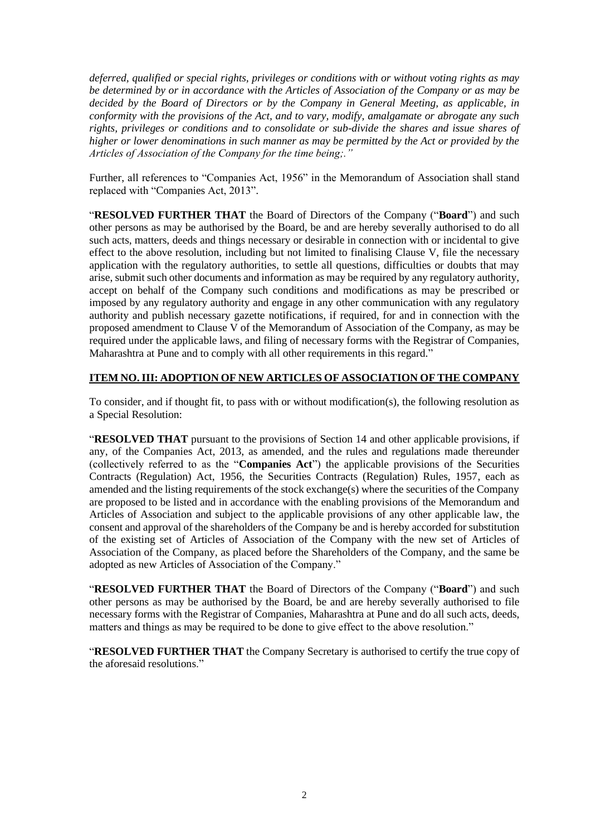*deferred, qualified or special rights, privileges or conditions with or without voting rights as may be determined by or in accordance with the Articles of Association of the Company or as may be decided by the Board of Directors or by the Company in General Meeting, as applicable, in conformity with the provisions of the Act, and to vary, modify, amalgamate or abrogate any such rights, privileges or conditions and to consolidate or sub-divide the shares and issue shares of higher or lower denominations in such manner as may be permitted by the Act or provided by the Articles of Association of the Company for the time being;."*

Further, all references to "Companies Act, 1956" in the Memorandum of Association shall stand replaced with "Companies Act, 2013".

"**RESOLVED FURTHER THAT** the Board of Directors of the Company ("**Board**") and such other persons as may be authorised by the Board, be and are hereby severally authorised to do all such acts, matters, deeds and things necessary or desirable in connection with or incidental to give effect to the above resolution, including but not limited to finalising Clause V, file the necessary application with the regulatory authorities, to settle all questions, difficulties or doubts that may arise, submit such other documents and information as may be required by any regulatory authority, accept on behalf of the Company such conditions and modifications as may be prescribed or imposed by any regulatory authority and engage in any other communication with any regulatory authority and publish necessary gazette notifications, if required, for and in connection with the proposed amendment to Clause V of the Memorandum of Association of the Company, as may be required under the applicable laws, and filing of necessary forms with the Registrar of Companies, Maharashtra at Pune and to comply with all other requirements in this regard."

### **ITEM NO. III: ADOPTION OF NEW ARTICLES OF ASSOCIATION OF THE COMPANY**

To consider, and if thought fit, to pass with or without modification(s), the following resolution as a Special Resolution:

"**RESOLVED THAT** pursuant to the provisions of Section 14 and other applicable provisions, if any, of the Companies Act, 2013, as amended, and the rules and regulations made thereunder (collectively referred to as the "**Companies Act**") the applicable provisions of the Securities Contracts (Regulation) Act, 1956, the Securities Contracts (Regulation) Rules, 1957, each as amended and the listing requirements of the stock exchange(s) where the securities of the Company are proposed to be listed and in accordance with the enabling provisions of the Memorandum and Articles of Association and subject to the applicable provisions of any other applicable law, the consent and approval of the shareholders of the Company be and is hereby accorded for substitution of the existing set of Articles of Association of the Company with the new set of Articles of Association of the Company, as placed before the Shareholders of the Company, and the same be adopted as new Articles of Association of the Company."

"**RESOLVED FURTHER THAT** the Board of Directors of the Company ("**Board**") and such other persons as may be authorised by the Board, be and are hereby severally authorised to file necessary forms with the Registrar of Companies, Maharashtra at Pune and do all such acts, deeds, matters and things as may be required to be done to give effect to the above resolution."

"**RESOLVED FURTHER THAT** the Company Secretary is authorised to certify the true copy of the aforesaid resolutions."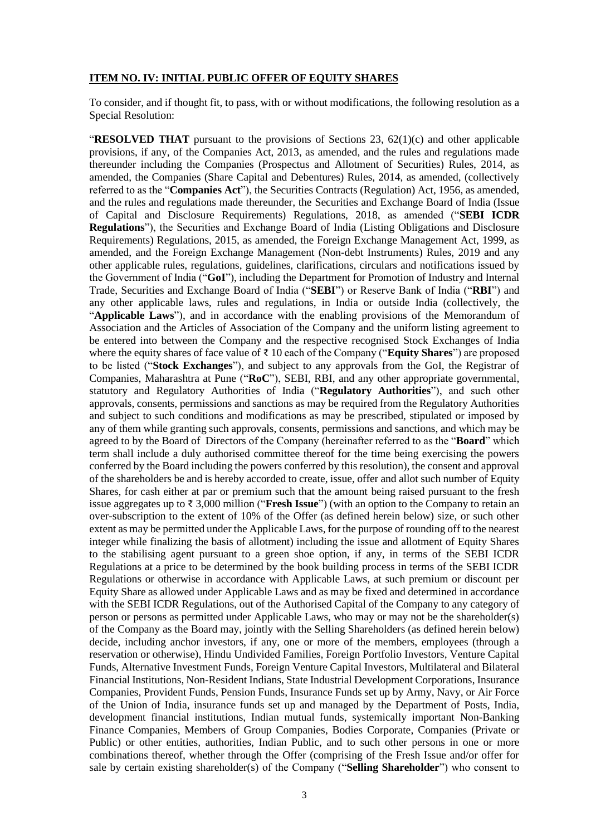#### **ITEM NO. IV: INITIAL PUBLIC OFFER OF EQUITY SHARES**

To consider, and if thought fit, to pass, with or without modifications, the following resolution as a Special Resolution:

"**RESOLVED THAT** pursuant to the provisions of Sections 23, 62(1)(c) and other applicable provisions, if any, of the Companies Act, 2013, as amended, and the rules and regulations made thereunder including the Companies (Prospectus and Allotment of Securities) Rules, 2014, as amended, the Companies (Share Capital and Debentures) Rules, 2014, as amended, (collectively referred to as the "**Companies Act**"), the Securities Contracts (Regulation) Act, 1956, as amended, and the rules and regulations made thereunder, the Securities and Exchange Board of India (Issue of Capital and Disclosure Requirements) Regulations, 2018, as amended ("**SEBI ICDR Regulations**"), the Securities and Exchange Board of India (Listing Obligations and Disclosure Requirements) Regulations, 2015, as amended, the Foreign Exchange Management Act, 1999, as amended, and the Foreign Exchange Management (Non-debt Instruments) Rules, 2019 and any other applicable rules, regulations, guidelines, clarifications, circulars and notifications issued by the Government of India ("**GoI**"), including the Department for Promotion of Industry and Internal Trade, Securities and Exchange Board of India ("**SEBI**") or Reserve Bank of India ("**RBI**") and any other applicable laws, rules and regulations, in India or outside India (collectively, the "**Applicable Laws**"), and in accordance with the enabling provisions of the Memorandum of Association and the Articles of Association of the Company and the uniform listing agreement to be entered into between the Company and the respective recognised Stock Exchanges of India where the equity shares of face value of ₹ 10 each of the Company ("**Equity Shares**") are proposed to be listed ("**Stock Exchanges**"), and subject to any approvals from the GoI, the Registrar of Companies, Maharashtra at Pune ("**RoC**"), SEBI, RBI, and any other appropriate governmental, statutory and Regulatory Authorities of India ("**Regulatory Authorities**"), and such other approvals, consents, permissions and sanctions as may be required from the Regulatory Authorities and subject to such conditions and modifications as may be prescribed, stipulated or imposed by any of them while granting such approvals, consents, permissions and sanctions, and which may be agreed to by the Board of Directors of the Company (hereinafter referred to as the "**Board**" which term shall include a duly authorised committee thereof for the time being exercising the powers conferred by the Board including the powers conferred by this resolution), the consent and approval of the shareholders be and is hereby accorded to create, issue, offer and allot such number of Equity Shares, for cash either at par or premium such that the amount being raised pursuant to the fresh issue aggregates up to ₹ 3,000 million ("**Fresh Issue**") (with an option to the Company to retain an over-subscription to the extent of 10% of the Offer (as defined herein below) size, or such other extent as may be permitted under the Applicable Laws, for the purpose of rounding off to the nearest integer while finalizing the basis of allotment) including the issue and allotment of Equity Shares to the stabilising agent pursuant to a green shoe option, if any, in terms of the SEBI ICDR Regulations at a price to be determined by the book building process in terms of the SEBI ICDR Regulations or otherwise in accordance with Applicable Laws, at such premium or discount per Equity Share as allowed under Applicable Laws and as may be fixed and determined in accordance with the SEBI ICDR Regulations, out of the Authorised Capital of the Company to any category of person or persons as permitted under Applicable Laws, who may or may not be the shareholder(s) of the Company as the Board may, jointly with the Selling Shareholders (as defined herein below) decide, including anchor investors, if any, one or more of the members, employees (through a reservation or otherwise), Hindu Undivided Families, Foreign Portfolio Investors, Venture Capital Funds, Alternative Investment Funds, Foreign Venture Capital Investors, Multilateral and Bilateral Financial Institutions, Non-Resident Indians, State Industrial Development Corporations, Insurance Companies, Provident Funds, Pension Funds, Insurance Funds set up by Army, Navy, or Air Force of the Union of India, insurance funds set up and managed by the Department of Posts, India, development financial institutions, Indian mutual funds, systemically important Non-Banking Finance Companies, Members of Group Companies, Bodies Corporate, Companies (Private or Public) or other entities, authorities, Indian Public, and to such other persons in one or more combinations thereof, whether through the Offer (comprising of the Fresh Issue and/or offer for sale by certain existing shareholder(s) of the Company ("**Selling Shareholder**") who consent to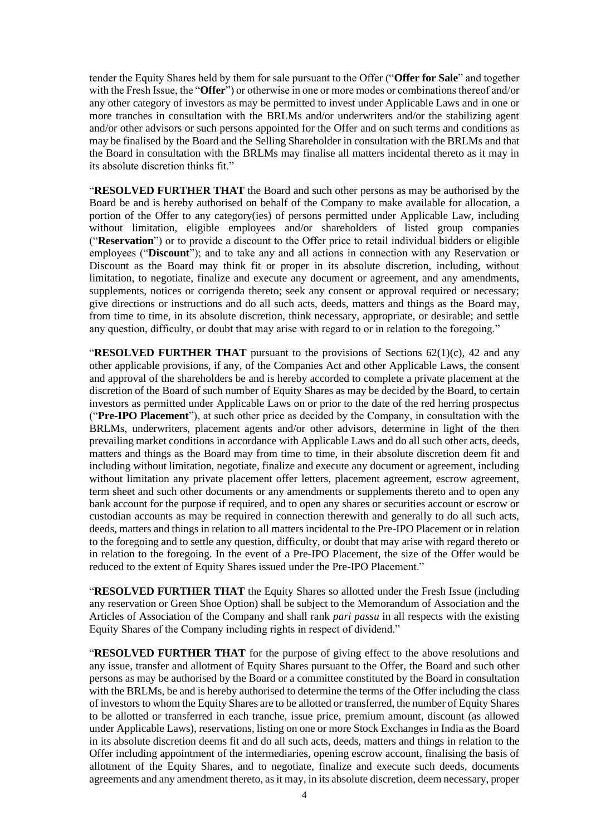tender the Equity Shares held by them for sale pursuant to the Offer ("**Offer for Sale**" and together with the Fresh Issue, the "**Offer**") or otherwise in one or more modes or combinations thereof and/or any other category of investors as may be permitted to invest under Applicable Laws and in one or more tranches in consultation with the BRLMs and/or underwriters and/or the stabilizing agent and/or other advisors or such persons appointed for the Offer and on such terms and conditions as may be finalised by the Board and the Selling Shareholder in consultation with the BRLMs and that the Board in consultation with the BRLMs may finalise all matters incidental thereto as it may in its absolute discretion thinks fit."

"**RESOLVED FURTHER THAT** the Board and such other persons as may be authorised by the Board be and is hereby authorised on behalf of the Company to make available for allocation, a portion of the Offer to any category(ies) of persons permitted under Applicable Law, including without limitation, eligible employees and/or shareholders of listed group companies ("**Reservation**") or to provide a discount to the Offer price to retail individual bidders or eligible employees ("**Discount**"); and to take any and all actions in connection with any Reservation or Discount as the Board may think fit or proper in its absolute discretion, including, without limitation, to negotiate, finalize and execute any document or agreement, and any amendments, supplements, notices or corrigenda thereto; seek any consent or approval required or necessary; give directions or instructions and do all such acts, deeds, matters and things as the Board may, from time to time, in its absolute discretion, think necessary, appropriate, or desirable; and settle any question, difficulty, or doubt that may arise with regard to or in relation to the foregoing."

**"RESOLVED FURTHER THAT** pursuant to the provisions of Sections 62(1)(c), 42 and any other applicable provisions, if any, of the Companies Act and other Applicable Laws, the consent and approval of the shareholders be and is hereby accorded to complete a private placement at the discretion of the Board of such number of Equity Shares as may be decided by the Board, to certain investors as permitted under Applicable Laws on or prior to the date of the red herring prospectus ("**Pre-IPO Placement**"), at such other price as decided by the Company, in consultation with the BRLMs, underwriters, placement agents and/or other advisors, determine in light of the then prevailing market conditions in accordance with Applicable Laws and do all such other acts, deeds, matters and things as the Board may from time to time, in their absolute discretion deem fit and including without limitation, negotiate, finalize and execute any document or agreement, including without limitation any private placement offer letters, placement agreement, escrow agreement, term sheet and such other documents or any amendments or supplements thereto and to open any bank account for the purpose if required, and to open any shares or securities account or escrow or custodian accounts as may be required in connection therewith and generally to do all such acts, deeds, matters and things in relation to all matters incidental to the Pre-IPO Placement or in relation to the foregoing and to settle any question, difficulty, or doubt that may arise with regard thereto or in relation to the foregoing. In the event of a Pre-IPO Placement, the size of the Offer would be reduced to the extent of Equity Shares issued under the Pre-IPO Placement."

"**RESOLVED FURTHER THAT** the Equity Shares so allotted under the Fresh Issue (including any reservation or Green Shoe Option) shall be subject to the Memorandum of Association and the Articles of Association of the Company and shall rank *pari passu* in all respects with the existing Equity Shares of the Company including rights in respect of dividend."

"**RESOLVED FURTHER THAT** for the purpose of giving effect to the above resolutions and any issue, transfer and allotment of Equity Shares pursuant to the Offer, the Board and such other persons as may be authorised by the Board or a committee constituted by the Board in consultation with the BRLMs, be and is hereby authorised to determine the terms of the Offer including the class of investors to whom the Equity Shares are to be allotted or transferred, the number of Equity Shares to be allotted or transferred in each tranche, issue price, premium amount, discount (as allowed under Applicable Laws), reservations, listing on one or more Stock Exchanges in India as the Board in its absolute discretion deems fit and do all such acts, deeds, matters and things in relation to the Offer including appointment of the intermediaries, opening escrow account, finalising the basis of allotment of the Equity Shares, and to negotiate, finalize and execute such deeds, documents agreements and any amendment thereto, as it may, in its absolute discretion, deem necessary, proper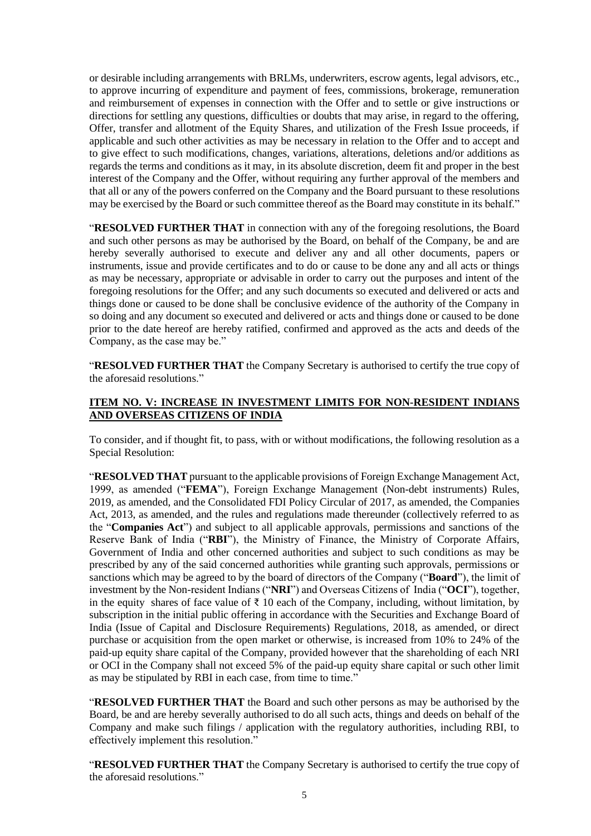or desirable including arrangements with BRLMs, underwriters, escrow agents, legal advisors, etc., to approve incurring of expenditure and payment of fees, commissions, brokerage, remuneration and reimbursement of expenses in connection with the Offer and to settle or give instructions or directions for settling any questions, difficulties or doubts that may arise, in regard to the offering, Offer, transfer and allotment of the Equity Shares, and utilization of the Fresh Issue proceeds, if applicable and such other activities as may be necessary in relation to the Offer and to accept and to give effect to such modifications, changes, variations, alterations, deletions and/or additions as regards the terms and conditions as it may, in its absolute discretion, deem fit and proper in the best interest of the Company and the Offer, without requiring any further approval of the members and that all or any of the powers conferred on the Company and the Board pursuant to these resolutions may be exercised by the Board or such committee thereof as the Board may constitute in its behalf."

"**RESOLVED FURTHER THAT** in connection with any of the foregoing resolutions, the Board and such other persons as may be authorised by the Board, on behalf of the Company, be and are hereby severally authorised to execute and deliver any and all other documents, papers or instruments, issue and provide certificates and to do or cause to be done any and all acts or things as may be necessary, appropriate or advisable in order to carry out the purposes and intent of the foregoing resolutions for the Offer; and any such documents so executed and delivered or acts and things done or caused to be done shall be conclusive evidence of the authority of the Company in so doing and any document so executed and delivered or acts and things done or caused to be done prior to the date hereof are hereby ratified, confirmed and approved as the acts and deeds of the Company, as the case may be."

"**RESOLVED FURTHER THAT** the Company Secretary is authorised to certify the true copy of the aforesaid resolutions."

### **ITEM NO. V: INCREASE IN INVESTMENT LIMITS FOR NON-RESIDENT INDIANS AND OVERSEAS CITIZENS OF INDIA**

To consider, and if thought fit, to pass, with or without modifications, the following resolution as a Special Resolution:

"**RESOLVED THAT** pursuant to the applicable provisions of Foreign Exchange Management Act, 1999, as amended ("**FEMA**"), Foreign Exchange Management (Non-debt instruments) Rules, 2019, as amended, and the Consolidated FDI Policy Circular of 2017, as amended, the Companies Act, 2013, as amended, and the rules and regulations made thereunder (collectively referred to as the "**Companies Act**") and subject to all applicable approvals, permissions and sanctions of the Reserve Bank of India ("**RBI**"), the Ministry of Finance, the Ministry of Corporate Affairs, Government of India and other concerned authorities and subject to such conditions as may be prescribed by any of the said concerned authorities while granting such approvals, permissions or sanctions which may be agreed to by the board of directors of the Company ("**Board**"), the limit of investment by the Non-resident Indians ("**NRI**") and Overseas Citizens of India ("**OCI**"), together, in the equity shares of face value of  $\bar{\tau}$  10 each of the Company, including, without limitation, by subscription in the initial public offering in accordance with the Securities and Exchange Board of India (Issue of Capital and Disclosure Requirements) Regulations, 2018, as amended, or direct purchase or acquisition from the open market or otherwise, is increased from 10% to 24% of the paid-up equity share capital of the Company, provided however that the shareholding of each NRI or OCI in the Company shall not exceed 5% of the paid-up equity share capital or such other limit as may be stipulated by RBI in each case, from time to time."

"**RESOLVED FURTHER THAT** the Board and such other persons as may be authorised by the Board, be and are hereby severally authorised to do all such acts, things and deeds on behalf of the Company and make such filings / application with the regulatory authorities, including RBI, to effectively implement this resolution."

"**RESOLVED FURTHER THAT** the Company Secretary is authorised to certify the true copy of the aforesaid resolutions."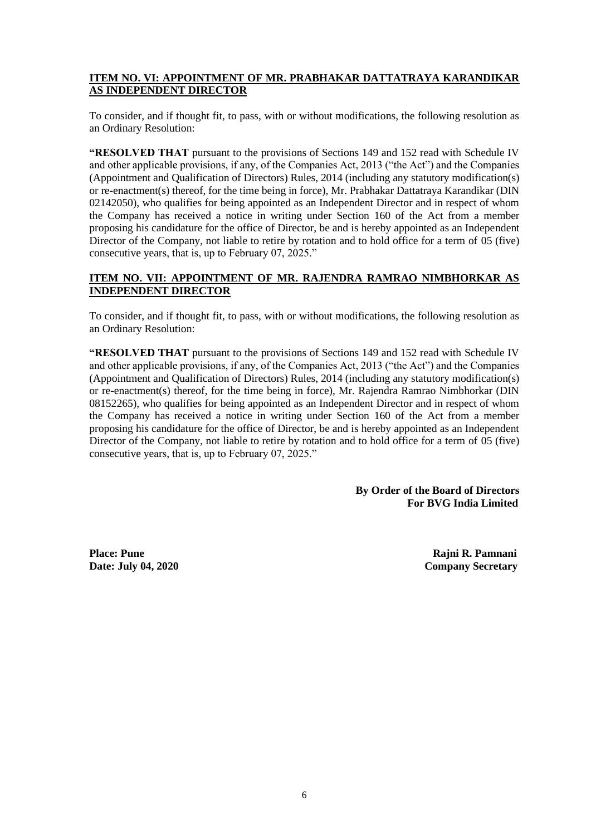### **ITEM NO. VI: APPOINTMENT OF MR. PRABHAKAR DATTATRAYA KARANDIKAR AS INDEPENDENT DIRECTOR**

To consider, and if thought fit, to pass, with or without modifications, the following resolution as an Ordinary Resolution:

**"RESOLVED THAT** pursuant to the provisions of Sections 149 and 152 read with Schedule IV and other applicable provisions, if any, of the Companies Act, 2013 ("the Act") and the Companies (Appointment and Qualification of Directors) Rules, 2014 (including any statutory modification(s) or re-enactment(s) thereof, for the time being in force), Mr. Prabhakar Dattatraya Karandikar (DIN 02142050), who qualifies for being appointed as an Independent Director and in respect of whom the Company has received a notice in writing under Section 160 of the Act from a member proposing his candidature for the office of Director, be and is hereby appointed as an Independent Director of the Company, not liable to retire by rotation and to hold office for a term of 05 (five) consecutive years, that is, up to February 07, 2025."

### **ITEM NO. VII: APPOINTMENT OF MR. RAJENDRA RAMRAO NIMBHORKAR AS INDEPENDENT DIRECTOR**

To consider, and if thought fit, to pass, with or without modifications, the following resolution as an Ordinary Resolution:

**"RESOLVED THAT** pursuant to the provisions of Sections 149 and 152 read with Schedule IV and other applicable provisions, if any, of the Companies Act, 2013 ("the Act") and the Companies (Appointment and Qualification of Directors) Rules, 2014 (including any statutory modification(s) or re-enactment(s) thereof, for the time being in force), Mr. Rajendra Ramrao Nimbhorkar (DIN 08152265), who qualifies for being appointed as an Independent Director and in respect of whom the Company has received a notice in writing under Section 160 of the Act from a member proposing his candidature for the office of Director, be and is hereby appointed as an Independent Director of the Company, not liable to retire by rotation and to hold office for a term of 05 (five) consecutive years, that is, up to February 07, 2025."

> **By Order of the Board of Directors For BVG India Limited**

**Place: Pune Rajni R. Pamnani Date:** July 04, 2020 Company Secretary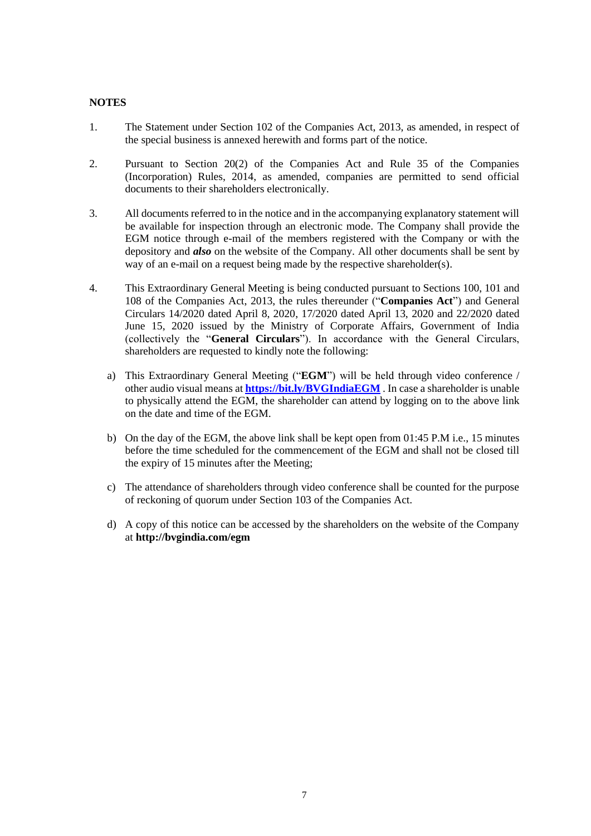#### **NOTES**

- 1. The Statement under Section 102 of the Companies Act, 2013, as amended, in respect of the special business is annexed herewith and forms part of the notice.
- 2. Pursuant to Section 20(2) of the Companies Act and Rule 35 of the Companies (Incorporation) Rules, 2014, as amended, companies are permitted to send official documents to their shareholders electronically.
- 3. All documents referred to in the notice and in the accompanying explanatory statement will be available for inspection through an electronic mode. The Company shall provide the EGM notice through e-mail of the members registered with the Company or with the depository and *also* on the website of the Company. All other documents shall be sent by way of an e-mail on a request being made by the respective shareholder(s).
- 4. This Extraordinary General Meeting is being conducted pursuant to Sections 100, 101 and 108 of the Companies Act, 2013, the rules thereunder ("**Companies Act**") and General Circulars 14/2020 dated April 8, 2020, 17/2020 dated April 13, 2020 and 22/2020 dated June 15, 2020 issued by the Ministry of Corporate Affairs, Government of India (collectively the "**General Circulars**"). In accordance with the General Circulars, shareholders are requested to kindly note the following:
	- a) This Extraordinary General Meeting ("**EGM**") will be held through video conference / other audio visual means at **<https://bit.ly/BVGIndiaEGM>** . In case a shareholder is unable to physically attend the EGM, the shareholder can attend by logging on to the above link on the date and time of the EGM.
	- b) On the day of the EGM, the above link shall be kept open from 01:45 P.M i.e., 15 minutes before the time scheduled for the commencement of the EGM and shall not be closed till the expiry of 15 minutes after the Meeting;
	- c) The attendance of shareholders through video conference shall be counted for the purpose of reckoning of quorum under Section 103 of the Companies Act.
	- d) A copy of this notice can be accessed by the shareholders on the website of the Company at **<http://bvgindia.com/>egm**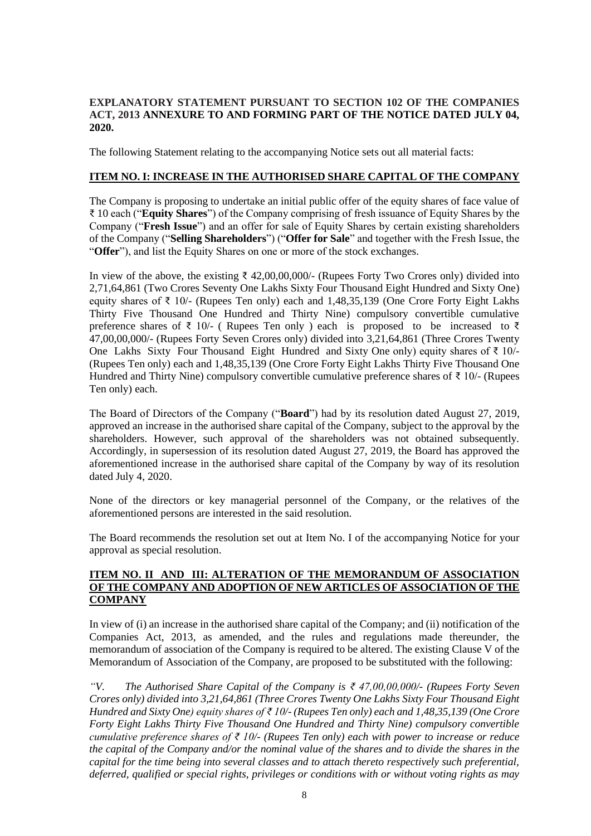### **EXPLANATORY STATEMENT PURSUANT TO SECTION 102 OF THE COMPANIES ACT, 2013 ANNEXURE TO AND FORMING PART OF THE NOTICE DATED JULY 04, 2020.**

The following Statement relating to the accompanying Notice sets out all material facts:

#### **ITEM NO. I: INCREASE IN THE AUTHORISED SHARE CAPITAL OF THE COMPANY**

The Company is proposing to undertake an initial public offer of the equity shares of face value of ₹ 10 each ("**Equity Shares**") of the Company comprising of fresh issuance of Equity Shares by the Company ("**Fresh Issue**") and an offer for sale of Equity Shares by certain existing shareholders of the Company ("**Selling Shareholders**") ("**Offer for Sale**" and together with the Fresh Issue, the "**Offer**"), and list the Equity Shares on one or more of the stock exchanges.

In view of the above, the existing  $\bar{\tau}$  42,00,00,000/- (Rupees Forty Two Crores only) divided into 2,71,64,861 (Two Crores Seventy One Lakhs Sixty Four Thousand Eight Hundred and Sixty One) equity shares of ₹ 10/- (Rupees Ten only) each and 1,48,35,139 (One Crore Forty Eight Lakhs Thirty Five Thousand One Hundred and Thirty Nine) compulsory convertible cumulative preference shares of  $\bar{\xi}$  10/- (Rupees Ten only ) each is proposed to be increased to  $\bar{\xi}$ 47,00,00,000/- (Rupees Forty Seven Crores only) divided into 3,21,64,861 (Three Crores Twenty One Lakhs Sixty Four Thousand Eight Hundred and Sixty One only) equity shares of ₹ 10/-(Rupees Ten only) each and 1,48,35,139 (One Crore Forty Eight Lakhs Thirty Five Thousand One Hundred and Thirty Nine) compulsory convertible cumulative preference shares of ₹ 10/- (Rupees Ten only) each.

The Board of Directors of the Company ("**Board**") had by its resolution dated August 27, 2019, approved an increase in the authorised share capital of the Company, subject to the approval by the shareholders. However, such approval of the shareholders was not obtained subsequently. Accordingly, in supersession of its resolution dated August 27, 2019, the Board has approved the aforementioned increase in the authorised share capital of the Company by way of its resolution dated July 4, 2020.

None of the directors or key managerial personnel of the Company, or the relatives of the aforementioned persons are interested in the said resolution.

The Board recommends the resolution set out at Item No. I of the accompanying Notice for your approval as special resolution.

#### **ITEM NO. II AND III: ALTERATION OF THE MEMORANDUM OF ASSOCIATION OF THE COMPANY AND ADOPTION OF NEW ARTICLES OF ASSOCIATION OF THE COMPANY**

In view of (i) an increase in the authorised share capital of the Company; and (ii) notification of the Companies Act, 2013, as amended, and the rules and regulations made thereunder, the memorandum of association of the Company is required to be altered. The existing Clause V of the Memorandum of Association of the Company, are proposed to be substituted with the following:

*"V. The Authorised Share Capital of the Company is ₹ 47,00,00,000/- (Rupees Forty Seven Crores only) divided into 3,21,64,861 (Three Crores Twenty One Lakhs Sixty Four Thousand Eight Hundred and Sixty One) equity shares of ₹ 10/- (Rupees Ten only) each and 1,48,35,139 (One Crore Forty Eight Lakhs Thirty Five Thousand One Hundred and Thirty Nine) compulsory convertible cumulative preference shares of ₹ 10/- (Rupees Ten only) each with power to increase or reduce the capital of the Company and/or the nominal value of the shares and to divide the shares in the capital for the time being into several classes and to attach thereto respectively such preferential, deferred, qualified or special rights, privileges or conditions with or without voting rights as may*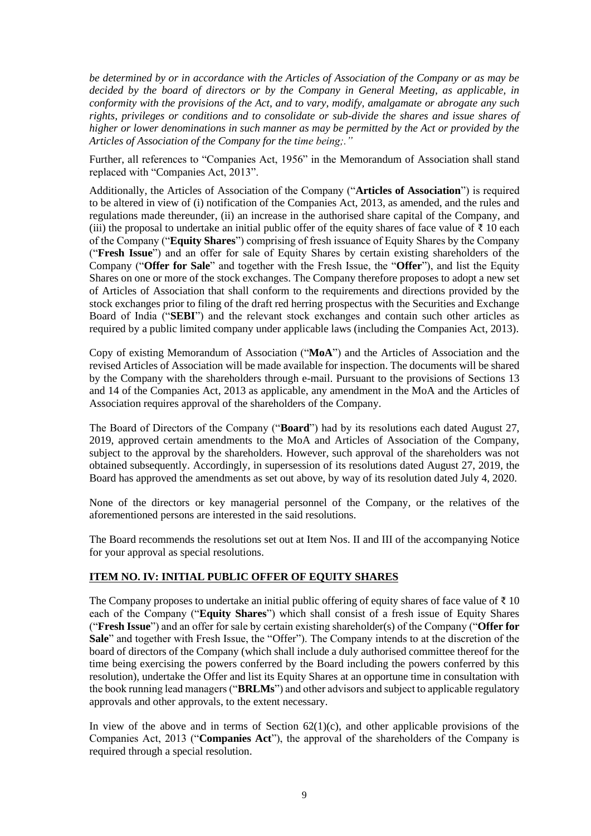*be determined by or in accordance with the Articles of Association of the Company or as may be decided by the board of directors or by the Company in General Meeting, as applicable, in conformity with the provisions of the Act, and to vary, modify, amalgamate or abrogate any such rights, privileges or conditions and to consolidate or sub-divide the shares and issue shares of higher or lower denominations in such manner as may be permitted by the Act or provided by the Articles of Association of the Company for the time being;."*

Further, all references to "Companies Act, 1956" in the Memorandum of Association shall stand replaced with "Companies Act, 2013".

Additionally, the Articles of Association of the Company ("**Articles of Association**") is required to be altered in view of (i) notification of the Companies Act, 2013, as amended, and the rules and regulations made thereunder, (ii) an increase in the authorised share capital of the Company, and (iii) the proposal to undertake an initial public offer of the equity shares of face value of  $\bar{\tau}$  10 each of the Company ("**Equity Shares**") comprising of fresh issuance of Equity Shares by the Company ("**Fresh Issue**") and an offer for sale of Equity Shares by certain existing shareholders of the Company ("**Offer for Sale**" and together with the Fresh Issue, the "**Offer**"), and list the Equity Shares on one or more of the stock exchanges. The Company therefore proposes to adopt a new set of Articles of Association that shall conform to the requirements and directions provided by the stock exchanges prior to filing of the draft red herring prospectus with the Securities and Exchange Board of India ("**SEBI**") and the relevant stock exchanges and contain such other articles as required by a public limited company under applicable laws (including the Companies Act, 2013).

Copy of existing Memorandum of Association ("**MoA**") and the Articles of Association and the revised Articles of Association will be made available for inspection. The documents will be shared by the Company with the shareholders through e-mail. Pursuant to the provisions of Sections 13 and 14 of the Companies Act, 2013 as applicable, any amendment in the MoA and the Articles of Association requires approval of the shareholders of the Company.

The Board of Directors of the Company ("**Board**") had by its resolutions each dated August 27, 2019, approved certain amendments to the MoA and Articles of Association of the Company, subject to the approval by the shareholders. However, such approval of the shareholders was not obtained subsequently. Accordingly, in supersession of its resolutions dated August 27, 2019, the Board has approved the amendments as set out above, by way of its resolution dated July 4, 2020.

None of the directors or key managerial personnel of the Company, or the relatives of the aforementioned persons are interested in the said resolutions.

The Board recommends the resolutions set out at Item Nos. II and III of the accompanying Notice for your approval as special resolutions.

## **ITEM NO. IV: INITIAL PUBLIC OFFER OF EQUITY SHARES**

The Company proposes to undertake an initial public offering of equity shares of face value of  $\bar{\tau}$  10 each of the Company ("**Equity Shares**") which shall consist of a fresh issue of Equity Shares ("**Fresh Issue**") and an offer for sale by certain existing shareholder(s) of the Company ("**Offer for Sale**" and together with Fresh Issue, the "Offer"). The Company intends to at the discretion of the board of directors of the Company (which shall include a duly authorised committee thereof for the time being exercising the powers conferred by the Board including the powers conferred by this resolution), undertake the Offer and list its Equity Shares at an opportune time in consultation with the book running lead managers ("**BRLMs**") and other advisors and subject to applicable regulatory approvals and other approvals, to the extent necessary.

In view of the above and in terms of Section  $62(1)(c)$ , and other applicable provisions of the Companies Act, 2013 ("**Companies Act**"), the approval of the shareholders of the Company is required through a special resolution.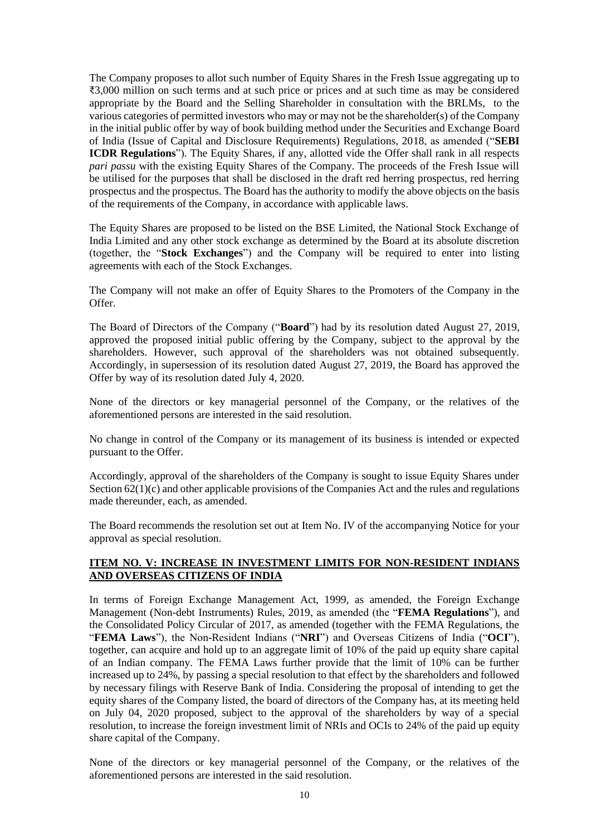The Company proposes to allot such number of Equity Shares in the Fresh Issue aggregating up to ₹3,000 million on such terms and at such price or prices and at such time as may be considered appropriate by the Board and the Selling Shareholder in consultation with the BRLMs, to the various categories of permitted investors who may or may not be the shareholder(s) of the Company in the initial public offer by way of book building method under the Securities and Exchange Board of India (Issue of Capital and Disclosure Requirements) Regulations, 2018, as amended ("**SEBI ICDR Regulations**"). The Equity Shares, if any, allotted vide the Offer shall rank in all respects *pari passu* with the existing Equity Shares of the Company. The proceeds of the Fresh Issue will be utilised for the purposes that shall be disclosed in the draft red herring prospectus, red herring prospectus and the prospectus. The Board has the authority to modify the above objects on the basis of the requirements of the Company, in accordance with applicable laws.

The Equity Shares are proposed to be listed on the BSE Limited, the National Stock Exchange of India Limited and any other stock exchange as determined by the Board at its absolute discretion (together, the "**Stock Exchanges**") and the Company will be required to enter into listing agreements with each of the Stock Exchanges.

The Company will not make an offer of Equity Shares to the Promoters of the Company in the Offer.

The Board of Directors of the Company ("**Board**") had by its resolution dated August 27, 2019, approved the proposed initial public offering by the Company, subject to the approval by the shareholders. However, such approval of the shareholders was not obtained subsequently. Accordingly, in supersession of its resolution dated August 27, 2019, the Board has approved the Offer by way of its resolution dated July 4, 2020.

None of the directors or key managerial personnel of the Company, or the relatives of the aforementioned persons are interested in the said resolution.

No change in control of the Company or its management of its business is intended or expected pursuant to the Offer.

Accordingly, approval of the shareholders of the Company is sought to issue Equity Shares under Section  $62(1)(c)$  and other applicable provisions of the Companies Act and the rules and regulations made thereunder, each, as amended.

The Board recommends the resolution set out at Item No. IV of the accompanying Notice for your approval as special resolution.

### **ITEM NO. V: INCREASE IN INVESTMENT LIMITS FOR NON-RESIDENT INDIANS AND OVERSEAS CITIZENS OF INDIA**

In terms of Foreign Exchange Management Act, 1999, as amended, the Foreign Exchange Management (Non-debt Instruments) Rules, 2019, as amended (the "**FEMA Regulations**"), and the Consolidated Policy Circular of 2017, as amended (together with the FEMA Regulations, the "**FEMA Laws**"), the Non-Resident Indians ("**NRI**") and Overseas Citizens of India ("**OCI**"), together, can acquire and hold up to an aggregate limit of 10% of the paid up equity share capital of an Indian company. The FEMA Laws further provide that the limit of 10% can be further increased up to 24%, by passing a special resolution to that effect by the shareholders and followed by necessary filings with Reserve Bank of India. Considering the proposal of intending to get the equity shares of the Company listed, the board of directors of the Company has, at its meeting held on July 04, 2020 proposed, subject to the approval of the shareholders by way of a special resolution, to increase the foreign investment limit of NRIs and OCIs to 24% of the paid up equity share capital of the Company.

None of the directors or key managerial personnel of the Company, or the relatives of the aforementioned persons are interested in the said resolution.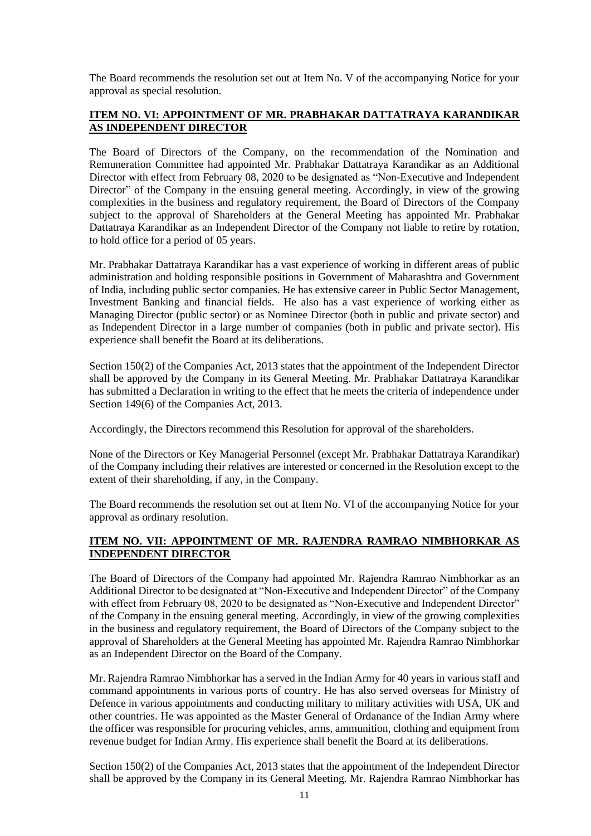The Board recommends the resolution set out at Item No. V of the accompanying Notice for your approval as special resolution.

## **ITEM NO. VI: APPOINTMENT OF MR. PRABHAKAR DATTATRAYA KARANDIKAR AS INDEPENDENT DIRECTOR**

The Board of Directors of the Company, on the recommendation of the Nomination and Remuneration Committee had appointed Mr. Prabhakar Dattatraya Karandikar as an Additional Director with effect from February 08, 2020 to be designated as "Non-Executive and Independent Director" of the Company in the ensuing general meeting. Accordingly, in view of the growing complexities in the business and regulatory requirement, the Board of Directors of the Company subject to the approval of Shareholders at the General Meeting has appointed Mr. Prabhakar Dattatraya Karandikar as an Independent Director of the Company not liable to retire by rotation, to hold office for a period of 05 years.

Mr. Prabhakar Dattatraya Karandikar has a vast experience of working in different areas of public administration and holding responsible positions in Government of Maharashtra and Government of India, including public sector companies. He has extensive career in Public Sector Management, Investment Banking and financial fields. He also has a vast experience of working either as Managing Director (public sector) or as Nominee Director (both in public and private sector) and as Independent Director in a large number of companies (both in public and private sector). His experience shall benefit the Board at its deliberations.

Section 150(2) of the Companies Act, 2013 states that the appointment of the Independent Director shall be approved by the Company in its General Meeting. Mr. Prabhakar Dattatraya Karandikar has submitted a Declaration in writing to the effect that he meets the criteria of independence under Section 149(6) of the Companies Act, 2013.

Accordingly, the Directors recommend this Resolution for approval of the shareholders.

None of the Directors or Key Managerial Personnel (except Mr. Prabhakar Dattatraya Karandikar) of the Company including their relatives are interested or concerned in the Resolution except to the extent of their shareholding, if any, in the Company.

The Board recommends the resolution set out at Item No. VI of the accompanying Notice for your approval as ordinary resolution.

## **ITEM NO. VII: APPOINTMENT OF MR. RAJENDRA RAMRAO NIMBHORKAR AS INDEPENDENT DIRECTOR**

The Board of Directors of the Company had appointed Mr. Rajendra Ramrao Nimbhorkar as an Additional Director to be designated at "Non-Executive and Independent Director" of the Company with effect from February 08, 2020 to be designated as "Non-Executive and Independent Director" of the Company in the ensuing general meeting. Accordingly, in view of the growing complexities in the business and regulatory requirement, the Board of Directors of the Company subject to the approval of Shareholders at the General Meeting has appointed Mr. Rajendra Ramrao Nimbhorkar as an Independent Director on the Board of the Company.

Mr. Rajendra Ramrao Nimbhorkar has a served in the Indian Army for 40 years in various staff and command appointments in various ports of country. He has also served overseas for Ministry of Defence in various appointments and conducting military to military activities with USA, UK and other countries. He was appointed as the Master General of Ordanance of the Indian Army where the officer was responsible for procuring vehicles, arms, ammunition, clothing and equipment from revenue budget for Indian Army. His experience shall benefit the Board at its deliberations.

Section 150(2) of the Companies Act, 2013 states that the appointment of the Independent Director shall be approved by the Company in its General Meeting. Mr. Rajendra Ramrao Nimbhorkar has